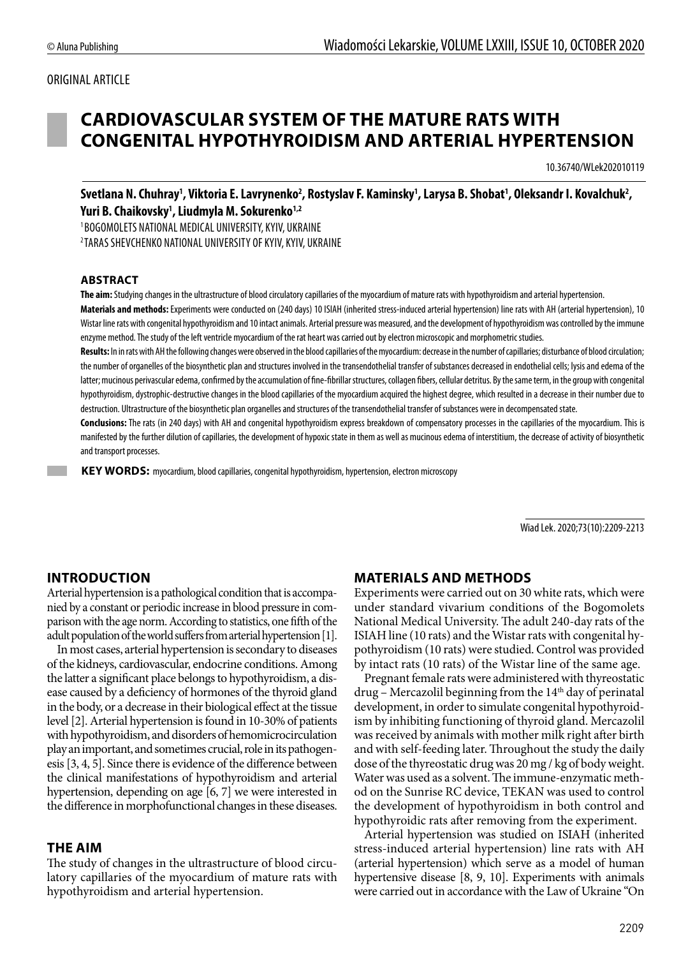### ORIGINAL ARTICLE

## **CARDIOVASCULAR SYSTEM OF THE MATURE RATS WITH CONGENITAL HYPOTHYROIDISM AND ARTERIAL HYPERTENSION**

10.36740/WLek202010119

Svetlana N. Chuhray<sup>1</sup>, Viktoria E. Lavrynenko<sup>2</sup>, Rostyslav F. Kaminsky<sup>1</sup>, Larysa B. Shobat<sup>1</sup>, Oleksandr I. Kovalchuk<sup>2</sup>, **Yuri B. Chaikovsky1 , Liudmyla M. Sokurenko1,2**

1 BOGOMOLETS NATIONAL MEDICAL UNIVERSITY, KYIV, UKRAINE 2 TARAS SHEVCHENKO NATIONAL UNIVERSITY OF KYIV, KYIV, UKRAINE

#### **ABSTRACT**

**The aim:** Studying changes in the ultrastructure of blood circulatory capillaries of the myocardium of mature rats with hypothyroidism and arterial hypertension.

**Materials and methods:** Experiments were conducted on (240 days) 10 ISIAH (inherited stress-induced arterial hypertension) line rats with AH (arterial hypertension), 10 Wistar line rats with congenital hypothyroidism and 10 intact animals. Arterial pressure was measured, and the development of hypothyroidism was controlled by the immune enzyme method. The study of the left ventricle myocardium of the rat heart was carried out by electron microscopic and morphometric studies.

Results: In in rats with AH the following changes were observed in the blood capillaries of the myocardium: decrease in the number of capillaries; disturbance of blood circulation; the number of organelles of the biosynthetic plan and structures involved in the transendothelial transfer of substances decreased in endothelial cells; lysis and edema of the latter; mucinous perivascular edema, confirmed by the accumulation of fine-fibrillar structures, collagen fibers, cellular detritus. By the same term, in the group with congenital hypothyroidism, dystrophic-destructive changes in the blood capillaries of the myocardium acquired the highest degree, which resulted in a decrease in their number due to destruction. Ultrastructure of the biosynthetic plan organelles and structures of the transendothelial transfer of substances were in decompensated state.

**Conclusions:** The rats (in 240 days) with AH and congenital hypothyroidism express breakdown of compensatory processes in the capillaries of the myocardium. This is manifested by the further dilution of capillaries, the development of hypoxic state in them as well as mucinous edema of interstitium, the decrease of activity of biosynthetic and transport processes.

 **KEY WORDS:** myocardium, blood capillaries, congenital hypothyroidism, hypertension, electron microscopy

Wiad Lek. 2020;73(10):2209-2213

## **INTRODUCTION**

Arterial hypertension is a pathological condition that is accompanied by a constant or periodic increase in blood pressure in comparison with the age norm. According to statistics, one fifth of the adult population of the world suffers from arterial hypertension [1].

In most cases, arterial hypertension is secondary to diseases of the kidneys, cardiovascular, endocrine conditions. Among the latter a significant place belongs to hypothyroidism, a disease caused by a deficiency of hormones of the thyroid gland in the body, or a decrease in their biological effect at the tissue level [2]. Arterial hypertension is found in 10-30% of patients with hypothyroidism, and disorders of hemomicrocirculation play an important, and sometimes crucial, role in its pathogenesis [3, 4, 5]. Since there is evidence of the difference between the clinical manifestations of hypothyroidism and arterial hypertension, depending on age [6, 7] we were interested in the difference in morphofunctional changes in these diseases.

#### **THE AIM**

The study of changes in the ultrastructure of blood circulatory capillaries of the myocardium of mature rats with hypothyroidism and arterial hypertension.

#### **MATERIALS AND METHODS**

Experiments were carried out on 30 white rats, which were under standard vivarium conditions of the Bogomolets National Medical University. The adult 240-day rats of the ISIAH line (10 rats) and the Wistar rats with congenital hypothyroidism (10 rats) were studied. Control was provided by intact rats (10 rats) of the Wistar line of the same age.

Pregnant female rats were administered with thyreostatic  $d$ rug – Mercazolil beginning from the  $14<sup>th</sup>$  day of perinatal development, in order to simulate congenital hypothyroidism by inhibiting functioning of thyroid gland. Mercazolil was received by animals with mother milk right after birth and with self-feeding later. Throughout the study the daily dose of the thyreostatic drug was 20 mg / kg of body weight. Water was used as a solvent. The immune-enzymatic method on the Sunrise RC device, TEKAN was used to control the development of hypothyroidism in both control and hypothyroidic rats after removing from the experiment.

Arterial hypertension was studied on ISIAH (inherited stress-induced arterial hypertension) line rats with AH (arterial hypertension) which serve as a model of human hypertensive disease [8, 9, 10]. Experiments with animals were carried out in accordance with the Law of Ukraine "On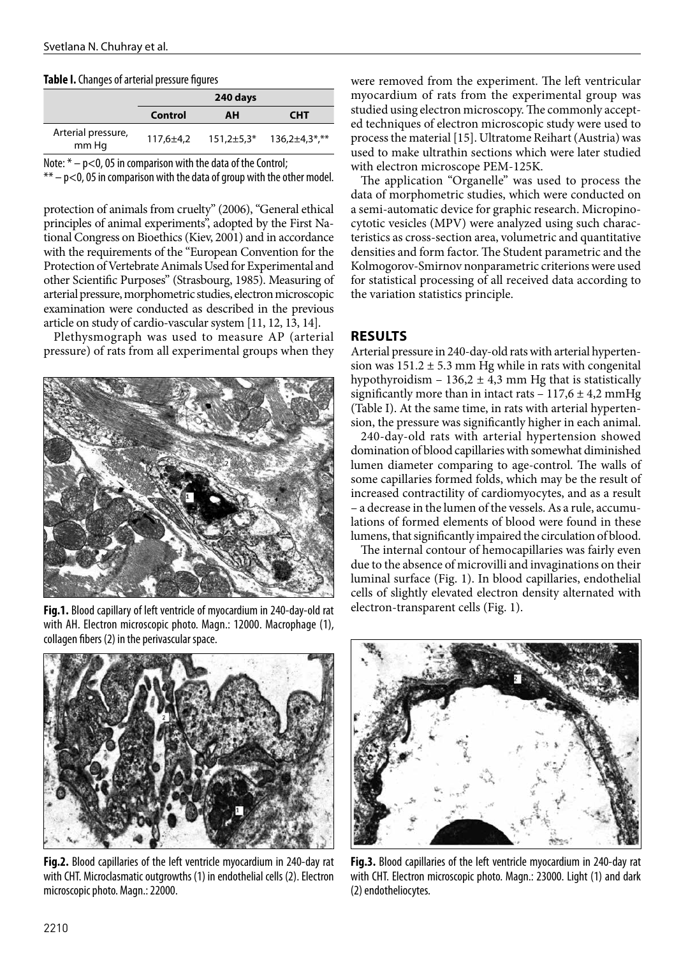#### **Table I.** Changes of arterial pressure figures

|                             | 240 days |    |                                                        |  |
|-----------------------------|----------|----|--------------------------------------------------------|--|
|                             | Control  | AH | <b>CHT</b>                                             |  |
| Arterial pressure,<br>mm Hq |          |    | $117,6 \pm 4,2$ $151,2 \pm 5,3$ * $136,2 \pm 4,3$ *,** |  |
|                             |          |    |                                                        |  |

Note:  $* - p < 0$ , 05 in comparison with the data of the Control;

 $** - p < 0$ , 05 in comparison with the data of group with the other model.

protection of animals from cruelty" (2006), "General ethical principles of animal experiments", adopted by the First National Congress on Bioethics (Kiev, 2001) and in accordance with the requirements of the "European Convention for the Protection of Vertebrate Animals Used for Experimental and other Scientific Purposes" (Strasbourg, 1985). Measuring of arterial pressure, morphometric studies, electron microscopic examination were conducted as described in the previous article on study of cardio-vascular system [11, 12, 13, 14].

Plethysmograph was used to measure AP (arterial pressure) of rats from all experimental groups when they



**Fig.1.** Blood capillary of left ventricle of myocardium in 240-day-old rat with AH. Electron microscopic photo. Magn.: 12000. Macrophage (1), collagen fibers (2) in the perivascular space.



**Fig.2.** Blood capillaries of the left ventricle myocardium in 240-day rat with CHT. Microclasmatic outgrowths (1) in endothelial cells (2). Electron microscopic photo. Magn.: 22000.

were removed from the experiment. The left ventricular myocardium of rats from the experimental group was studied using electron microscopy. The commonly accepted techniques of electron microscopic study were used to process the material [15]. Ultratome Reihart (Austria) was used to make ultrathin sections which were later studied with electron microscope PEM-125K.

The application "Organelle" was used to process the data of morphometric studies, which were conducted on a semi-automatic device for graphic research. Micropinocytotic vesicles (MPV) were analyzed using such characteristics as cross-section area, volumetric and quantitative densities and form factor. The Student parametric and the Kolmogorov-Smirnov nonparametric criterions were used for statistical processing of all received data according to the variation statistics principle.

### **RESULTS**

Arterial pressure in 240-day-old rats with arterial hypertension was  $151.2 \pm 5.3$  mm Hg while in rats with congenital hypothyroidism  $-136,2 \pm 4,3$  mm Hg that is statistically significantly more than in intact rats  $-117,6 \pm 4,2$  mmHg (Table I). At the same time, in rats with arterial hypertension, the pressure was significantly higher in each animal.

240-day-old rats with arterial hypertension showed domination of blood capillaries with somewhat diminished lumen diameter comparing to age-control. The walls of some capillaries formed folds, which may be the result of increased contractility of cardiomyocytes, and as a result – a decrease in the lumen of the vessels. As a rule, accumulations of formed elements of blood were found in these lumens, that significantly impaired the circulation of blood.

The internal contour of hemocapillaries was fairly even due to the absence of microvilli and invaginations on their luminal surface (Fig. 1). In blood capillaries, endothelial cells of slightly elevated electron density alternated with electron-transparent cells (Fig. 1).



**Fig.3.** Blood capillaries of the left ventricle myocardium in 240-day rat with CHT. Electron microscopic photo. Magn.: 23000. Light (1) and dark (2) endotheliocytes.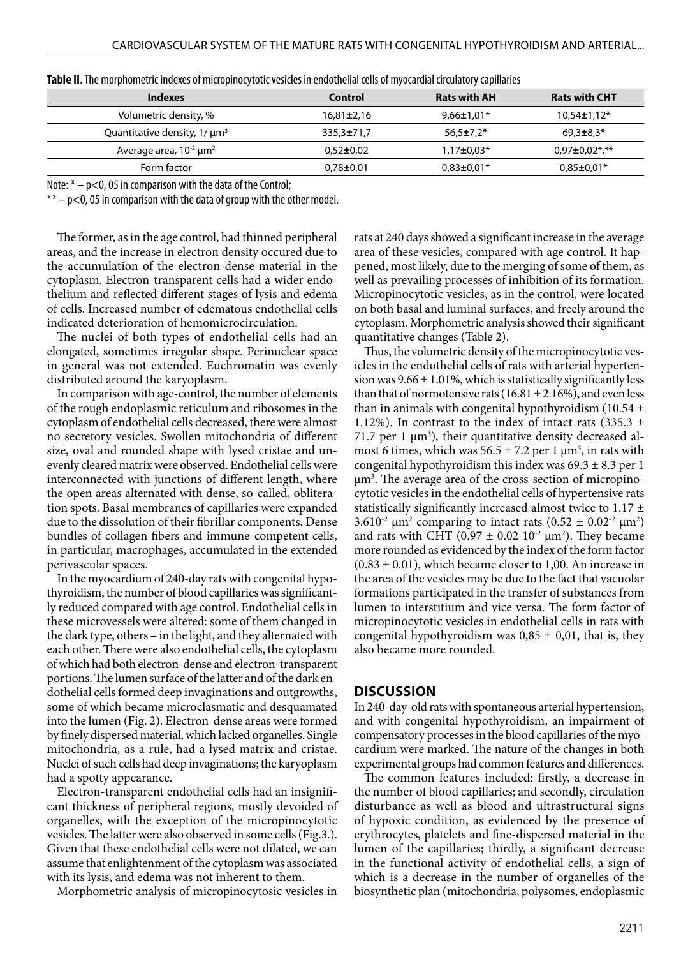| Indexes                                      | Control          | <b>Rats with AH</b> | <b>Rats with CHT</b> |
|----------------------------------------------|------------------|---------------------|----------------------|
| Volumetric density, %                        | $16,81\pm2,16$   | $9,66 \pm 1,01*$    | $10,54\pm1,12*$      |
| Quantitative density, $1/\mu m^3$            | $335,3 \pm 71,7$ | $56,5 \pm 7,2^*$    | $69.3 \pm 8.3*$      |
| Average area, $10^{-2}$ $\mu$ m <sup>2</sup> | $0.52 \pm 0.02$  | $1,17\pm0.03*$      | $0.97 \pm 0.02$ *,** |
| Form factor                                  | $0,78 \pm 0,01$  | $0.83 \pm 0.01*$    | $0.85 \pm 0.01*$     |

| Table II. The morphometric indexes of micropinocytotic vesicles in endothelial cells of myocardial circulatory capillaries |  |  |
|----------------------------------------------------------------------------------------------------------------------------|--|--|
|                                                                                                                            |  |  |

Note:  $* - p < 0$ , 05 in comparison with the data of the Control;

 $** - p < 0$ , 05 in comparison with the data of group with the other model.

The former, as in the age control, had thinned peripheral areas, and the increase in electron density occured due to the accumulation of the electron-dense material in the cytoplasm. Electron-transparent cells had a wider endothelium and reflected different stages of lysis and edema of cells. Increased number of edematous endothelial cells indicated deterioration of hemomicrocirculation.

The nuclei of both types of endothelial cells had an elongated, sometimes irregular shape. Perinuclear space in general was not extended. Euchromatin was evenly distributed around the karyoplasm.

In comparison with age-control, the number of elements of the rough endoplasmic reticulum and ribosomes in the cytoplasm of endothelial cells decreased, there were almost no secretory vesicles. Swollen mitochondria of different size, oval and rounded shape with lysed cristae and unevenly cleared matrix were observed. Endothelial cells were interconnected with junctions of different length, where the open areas alternated with dense, so-called, obliteration spots. Basal membranes of capillaries were expanded due to the dissolution of their fibrillar components. Dense bundles of collagen fibers and immune-competent cells, in particular, macrophages, accumulated in the extended perivascular spaces.

In the myocardium of 240-day rats with congenital hypothyroidism, the number of blood capillaries was significantly reduced compared with age control. Endothelial cells in these microvessels were altered: some of them changed in the dark type, others – in the light, and they alternated with each other. There were also endothelial cells, the cytoplasm of which had both electron-dense and electron-transparent portions. The lumen surface of the latter and of the dark endothelial cells formed deep invaginations and outgrowths, some of which became microclasmatic and desquamated into the lumen (Fig. 2). Electron-dense areas were formed by finely dispersed material, which lacked organelles. Single mitochondria, as a rule, had a lysed matrix and cristae. Nuclei of such cells had deep invaginations; the karyoplasm had a spotty appearance.

Electron-transparent endothelial cells had an insignificant thickness of peripheral regions, mostly devoided of organelles, with the exception of the micropinocytotic vesicles. The latter were also observed in some cells (Fig.3.). Given that these endothelial cells were not dilated, we can assume that enlightenment of the cytoplasm was associated with its lysis, and edema was not inherent to them.

Morphometric analysis of micropinocytosic vesicles in

rats at 240 days showed a significant increase in the average area of these vesicles, compared with age control. It happened, most likely, due to the merging of some of them, as well as prevailing processes of inhibition of its formation. Micropinocytotic vesicles, as in the control, were located on both basal and luminal surfaces, and freely around the cytoplasm. Morphometric analysis showed their significant quantitative changes (Table 2).

Thus, the volumetric density of the micropinocytotic vesicles in the endothelial cells of rats with arterial hypertension was  $9.66 \pm 1.01\%$ , which is statistically significantly less than that of normotensive rats (16.81  $\pm$  2.16%), and even less than in animals with congenital hypothyroidism (10.54  $\pm$ 1.12%). In contrast to the index of intact rats (335.3  $\pm$ 71.7 per 1  $\mu$ m<sup>3</sup>), their quantitative density decreased almost 6 times, which was  $56.5 \pm 7.2$  per 1  $\mu$ m<sup>3</sup>, in rats with congenital hypothyroidism this index was  $69.3 \pm 8.3$  per 1 µm3 . The average area of the cross-section of micropinocytotic vesicles in the endothelial cells of hypertensive rats statistically significantly increased almost twice to  $1.17 \pm$ 3.610<sup>-2</sup>  $\mu$ m<sup>2</sup> comparing to intact rats (0.52  $\pm$  0.02<sup>-2</sup>  $\mu$ m<sup>2</sup>) and rats with CHT (0.97  $\pm$  0.02 10<sup>-2</sup>  $\mu$ m<sup>2</sup>). They became more rounded as evidenced by the index of the form factor  $(0.83 \pm 0.01)$ , which became closer to 1,00. An increase in the area of the vesicles may be due to the fact that vacuolar formations participated in the transfer of substances from lumen to interstitium and vice versa. The form factor of micropinocytotic vesicles in endothelial cells in rats with congenital hypothyroidism was  $0.85 \pm 0.01$ , that is, they also became more rounded.

#### **DISCUSSION**

In 240-day-old rats with spontaneous arterial hypertension, and with congenital hypothyroidism, an impairment of compensatory processes in the blood capillaries of the myocardium were marked. The nature of the changes in both experimental groups had common features and differences.

The common features included: firstly, a decrease in the number of blood capillaries; and secondly, circulation disturbance as well as blood and ultrastructural signs of hypoxic condition, as evidenced by the presence of erythrocytes, platelets and fine-dispersed material in the lumen of the capillaries; thirdly, a significant decrease in the functional activity of endothelial cells, a sign of which is a decrease in the number of organelles of the biosynthetic plan (mitochondria, polysomes, endoplasmic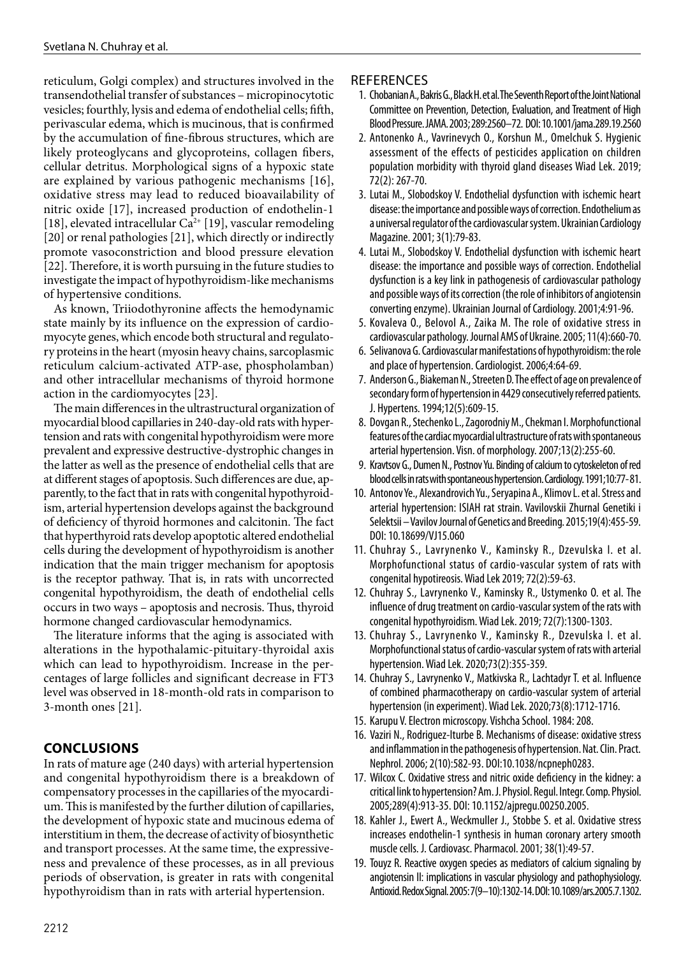reticulum, Golgi complex) and structures involved in the transendothelial transfer of substances – micropinocytotic vesicles; fourthly, lysis and edema of endothelial cells; fifth, perivascular edema, which is mucinous, that is confirmed by the accumulation of fine-fibrous structures, which are likely proteoglycans and glycoproteins, collagen fibers, cellular detritus. Morphological signs of a hypoxic state are explained by various pathogenic mechanisms [16], oxidative stress may lead to reduced bioavailability of nitric oxide [17], increased production of endothelin-1 [18], elevated intracellular Ca<sup>2+</sup> [19], vascular remodeling [20] or renal pathologies [21], which directly or indirectly promote vasoconstriction and blood pressure elevation [22]. Therefore, it is worth pursuing in the future studies to investigate the impact of hypothyroidism-like mechanisms of hypertensive conditions.

As known, Triiodothyronine affects the hemodynamic state mainly by its influence on the expression of cardiomyocyte genes, which encode both structural and regulatory proteins in the heart (myosin heavy chains, sarcoplasmic reticulum calcium-activated ATP-ase, phospholamban) and other intracellular mechanisms of thyroid hormone action in the cardiomyocytes [23].

The main differences in the ultrastructural organization of myocardial blood capillaries in 240-day-old rats with hypertension and rats with congenital hypothyroidism were more prevalent and expressive destructive-dystrophic changes in the latter as well as the presence of endothelial cells that are at different stages of apoptosis. Such differences are due, apparently, to the fact that in rats with congenital hypothyroidism, arterial hypertension develops against the background of deficiency of thyroid hormones and calcitonin. The fact that hyperthyroid rats develop apoptotic altered endothelial cells during the development of hypothyroidism is another indication that the main trigger mechanism for apoptosis is the receptor pathway. That is, in rats with uncorrected congenital hypothyroidism, the death of endothelial cells occurs in two ways – apoptosis and necrosis. Thus, thyroid hormone changed cardiovascular hemodynamics.

The literature informs that the aging is associated with alterations in the hypothalamic-pituitary-thyroidal axis which can lead to hypothyroidism. Increase in the percentages of large follicles and significant decrease in FT3 level was observed in 18-month-old rats in comparison to 3-month ones [21].

## **CONCLUSIONS**

In rats of mature age (240 days) with arterial hypertension and congenital hypothyroidism there is a breakdown of compensatory processes in the capillaries of the myocardium. This is manifested by the further dilution of capillaries, the development of hypoxic state and mucinous edema of interstitium in them, the decrease of activity of biosynthetic and transport processes. At the same time, the expressiveness and prevalence of these processes, as in all previous periods of observation, is greater in rats with congenital hypothyroidism than in rats with arterial hypertension.

## **REFERENCES**

- 1. Chobanian A., Bakris G., Black H. et al. The Seventh Report of the Joint National Committee on Prevention, Detection, Evaluation, and Treatment of High Blood Pressure. JAMA. 2003; 289:2560–72. DOI: 10.1001/jama.289.19.2560
- 2. Antonenko A., Vavrinevych O., Korshun M., Omelchuk S. Hygienic assessment of the effects of pesticides application on children population morbidity with thyroid gland diseases Wiad Lek. 2019; 72(2): 267-70.
- 3. Lutai M., Slobodskoy V. Endothelial dysfunction with ischemic heart disease: the importance and possible ways of correction. Endothelium as a universal regulator of the cardiovascular system. Ukrainian Cardiology Magazine. 2001; 3(1):79-83.
- 4. Lutai M., Slobodskoy V. Endothelial dysfunction with ischemic heart disease: the importance and possible ways of correction. Endothelial dysfunction is a key link in pathogenesis of cardiovascular pathology and possible ways of its correction (the role of inhibitors of angiotensin converting enzyme). Ukrainian Journal of Cardiology. 2001;4:91-96.
- 5. Kovaleva O., Belovol A., Zaika M. The role of oxidative stress in cardiovascular pathology. Journal AMS of Ukraine. 2005; 11(4):660-70.
- 6. Selivanova G. Cardiovascular manifestations of hypothyroidism: the role and place of hypertension. Cardiologist. 2006;4:64-69.
- 7. Anderson G., Biakeman N., Streeten D. The effect of age on prevalence of secondary form of hypertension in 4429 consecutively referred patients. J. Hypertens. 1994;12(5):609-15.
- 8. Dovgan R., Stechenko L., Zagorodniy M., Chekman I. Morphofunctional features of the cardiac myocardial ultrastructure of rats with spontaneous arterial hypertension. Visn. of morphology. 2007;13(2):255-60.
- 9. Kravtsov G., Dumen N., Postnov Yu. Binding of calcium to cytoskeleton of red blood cells in rats with spontaneous hypertension. Cardiology. 1991;10:77- 81.
- 10. Antonov Ye., Alexandrovich Yu., Seryapina A., Klimov L. et al. Stress and arterial hypertension: ISIAH rat strain. Vavilovskii Zhurnal Genetiki i Selektsii – Vavilov Journal of Genetics and Breeding. 2015;19(4):455-59. DOI: 10.18699/VJ15.060
- 11. Chuhray S., Lavrynenko V., Kaminsky R., Dzevulska I. et al. Morphofunctional status of cardio-vascular system of rats with congenital hypotireosis. Wiad Lek 2019; 72(2):59-63.
- 12. Chuhray S., Lavrynenko V., Kaminsky R., Ustymenko O. et al. The influence of drug treatment on cardio-vascular system of the rats with congenital hypothyroidism. Wiad Lek. 2019; 72(7):1300-1303.
- 13. Chuhray S., Lavrynenko V., Kaminsky R., Dzevulska I. et al. Morphofunctional status of cardio-vascular system of rats with arterial hypertension. Wiad Lek. 2020;73(2):355-359.
- 14. Chuhray S., Lavrynenko V., Matkivska R., Lachtadyr T. et al. Influence of combined pharmacotherapy on cardio-vascular system of arterial hypertension (in experiment). Wiad Lek. 2020;73(8):1712-1716.
- 15. Karupu V. Electron microscopy. Vishcha School. 1984: 208.
- 16. Vaziri N., Rodriguez-Iturbe B. Mechanisms of disease: oxidative stress and inflammation in the pathogenesis of hypertension. Nat. Clin. Pract. Nephrol. 2006; 2(10):582-93. DOI:10.1038/ncpneph0283.
- 17. Wilcox C. Oxidative stress and nitric oxide deficiency in the kidney: a critical link to hypertension? Am. J. Physiol. Regul. Integr. Comp. Physiol. 2005;289(4):913-35. DOI: 10.1152/ajpregu.00250.2005.
- 18. Kahler J., Ewert A., Weckmuller J., Stobbe S. et al. Oxidative stress increases endothelin-1 synthesis in human coronary artery smooth muscle cells. J. Cardiovasc. Pharmacol. 2001; 38(1):49-57.
- 19. Touyz R. Reactive oxygen species as mediators of calcium signaling by angiotensin II: implications in vascular physiology and pathophysiology. Antioxid. Redox Signal. 2005: 7(9–10):1302-14. DOI: 10.1089/ars.2005.7.1302.